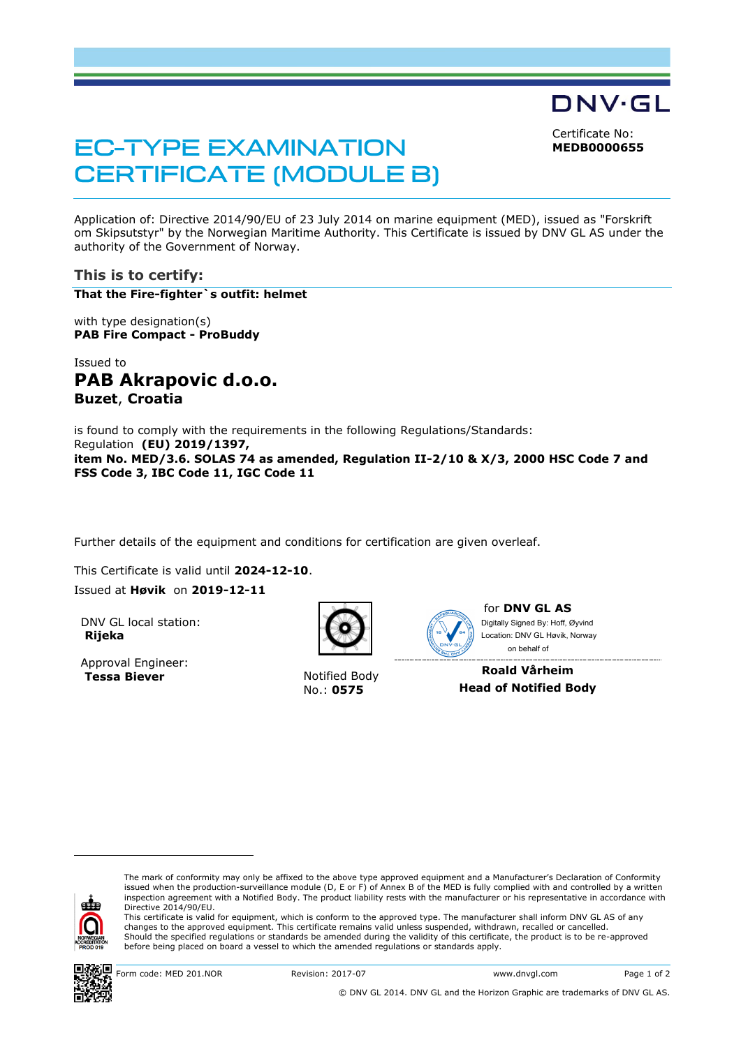DNV·GL Certificate No:

**MEDB0000655**

# **EC-TYPE EXAMINATION CERTIFICATE (MODULE B)**

Application of: Directive 2014/90/EU of 23 July 2014 on marine equipment (MED), issued as "Forskrift om Skipsutstyr" by the Norwegian Maritime Authority. This Certificate is issued by DNV GL AS under the authority of the Government of Norway.

# **This is to certify:**

**That the Fire-fighter`s outfit: helmet**

with type designation(s) **PAB Fire Compact - ProBuddy**

Issued to **PAB Akrapovic d.o.o. Buzet**, **Croatia**

is found to comply with the requirements in the following Regulations/Standards: Regulation **(EU) 2019/1397, item No. MED/3.6. SOLAS 74 as amended, Regulation II-2/10 & X/3, 2000 HSC Code 7 and FSS Code 3, IBC Code 11, IGC Code 11**

Further details of the equipment and conditions for certification are given overleaf.

This Certificate is valid until **2024-12-10**. Issued at **Høvik** on **2019-12-11**

DNV GL local station: **Rijeka**

Approval Engineer: **Tessa Biever** Notified Body



No.: **0575**



for **DNV GL AS** on behalf ofDigitally Signed By: Hoff, Øyvind Location: DNV GL Høvik, Norway

**Roald Vårheim Head of Notified Body**



ı

The mark of conformity may only be affixed to the above type approved equipment and a Manufacturer's Declaration of Conformity<br>issued when the production-surveillance module (D, E or F) of Annex B of the MED is fully compl inspection agreement with a Notified Body. The product liability rests with the manufacturer or his representative in accordance with Directive 2014/90/EU.

This certificate is valid for equipment, which is conform to the approved type. The manufacturer shall inform DNV GL AS of any changes to the approved equipment. This certificate remains valid unless suspended, withdrawn, recalled or cancelled. Should the specified regulations or standards be amended during the validity of this certificate, the product is to be re-approved before being placed on board a vessel to which the amended regulations or standards apply.



Form code: MED 201.NOR Revision: 2017-07 www.dnvgl.com Page 1 of 2

© DNV GL 2014. DNV GL and the Horizon Graphic are trademarks of DNV GL AS.